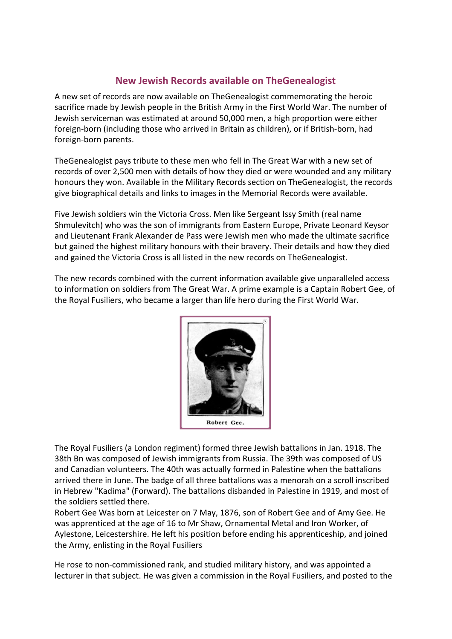## **New Jewish Records available on TheGenealogist**

A new set of records are now available on TheGenealogist commemorating the heroic sacrifice made by Jewish people in the British Army in the First World War. The number of Jewish serviceman was estimated at around 50,000 men, a high proportion were either foreign-born (including those who arrived in Britain as children), or if British-born, had foreign-born parents.

TheGenealogist pays tribute to these men who fell in The Great War with a new set of records of over 2,500 men with details of how they died or were wounded and any military honours they won. Available in the Military Records section on TheGenealogist, the records give biographical details and links to images in the Memorial Records were available.

Five Jewish soldiers win the Victoria Cross. Men like Sergeant Issy Smith (real name Shmulevitch) who was the son of immigrants from Eastern Europe, Private Leonard Keysor and Lieutenant Frank Alexander de Pass were Jewish men who made the ultimate sacrifice but gained the highest military honours with their bravery. Their details and how they died and gained the Victoria Cross is all listed in the new records on TheGenealogist.

The new records combined with the current information available give unparalleled access to information on soldiers from The Great War. A prime example is a Captain Robert Gee, of the Royal Fusiliers, who became a larger than life hero during the First World War.



The Royal Fusiliers (a London regiment) formed three Jewish battalions in Jan. 1918. The 38th Bn was composed of Jewish immigrants from Russia. The 39th was composed of US and Canadian volunteers. The 40th was actually formed in Palestine when the battalions arrived there in June. The badge of all three battalions was a menorah on a scroll inscribed in Hebrew "Kadima" (Forward). The battalions disbanded in Palestine in 1919, and most of the soldiers settled there.

Robert Gee Was born at Leicester on 7 May, 1876, son of Robert Gee and of Amy Gee. He was apprenticed at the age of 16 to Mr Shaw, Ornamental Metal and Iron Worker, of Aylestone, Leicestershire. He left his position before ending his apprenticeship, and joined the Army, enlisting in the Royal Fusiliers

He rose to non-commissioned rank, and studied military history, and was appointed a lecturer in that subject. He was given a commission in the Royal Fusiliers, and posted to the